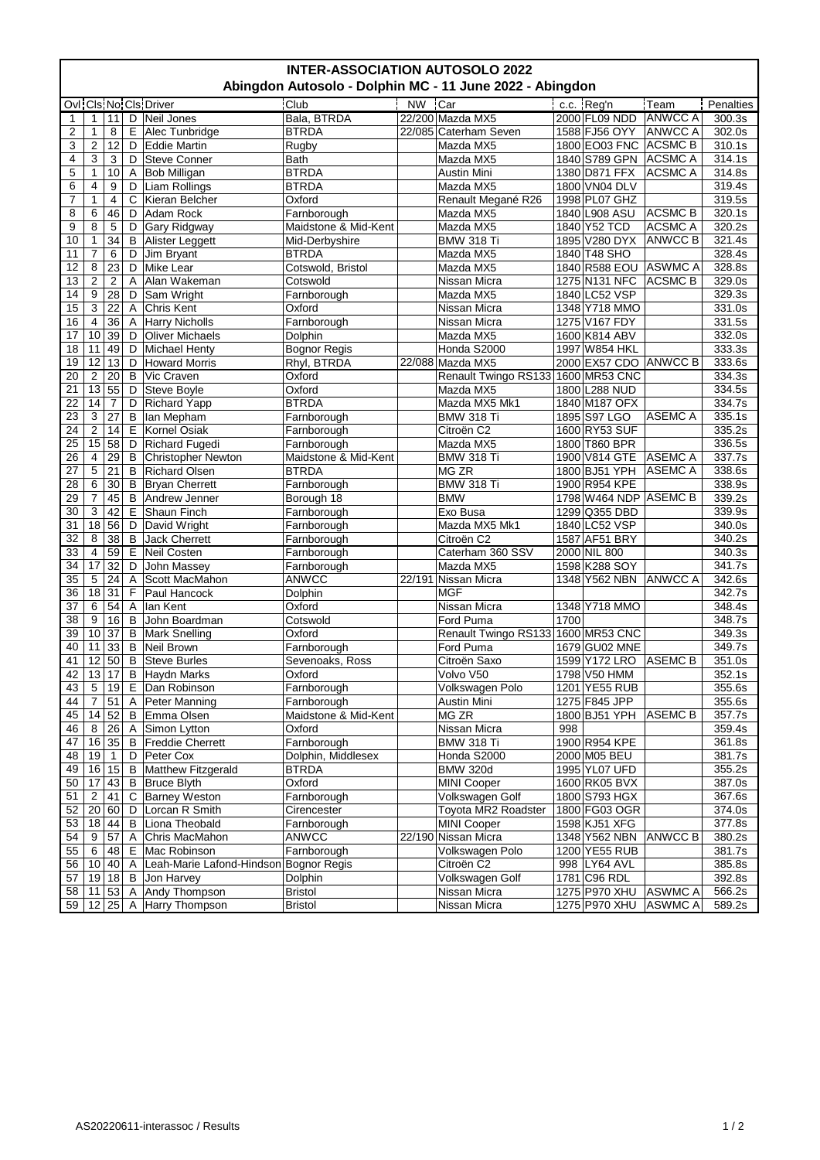| <b>INTER-ASSOCIATION AUTOSOLO 2022</b><br>Abingdon Autosolo - Dolphin MC - 11 June 2022 - Abingdon |                  |                |              |                                        |                      |           |                                    |      |                       |                |           |  |
|----------------------------------------------------------------------------------------------------|------------------|----------------|--------------|----------------------------------------|----------------------|-----------|------------------------------------|------|-----------------------|----------------|-----------|--|
|                                                                                                    |                  |                |              | Ovi Cis No Cis Driver                  | Club                 | <b>NW</b> | Car                                |      | c.c. Reg'n            | Team           | Penalties |  |
|                                                                                                    | 1                | 11             | D            | Neil Jones                             | Bala, BTRDA          |           | 22/200 Mazda MX5                   |      | 2000 FL09 NDD         | <b>ANWCC A</b> | 300.3s    |  |
| $\mathbf{1}$<br>$\overline{2}$                                                                     | 1                | 8              | E            | Alec Tunbridge                         | <b>BTRDA</b>         |           | 22/085 Caterham Seven              |      | 1588 FJ56 OYY         | <b>ANWCC A</b> | 302.0s    |  |
|                                                                                                    |                  |                |              |                                        |                      |           |                                    |      |                       |                |           |  |
| 3                                                                                                  | $\boldsymbol{2}$ | 12             | D            | Eddie Martin                           | Rugby                |           | Mazda MX5                          |      | 1800 EO03 FNC         | <b>ACSMC B</b> | 310.1s    |  |
| 4                                                                                                  | 3                | 3              | D            | Steve Conner                           | Bath                 |           | Mazda MX5                          |      | 1840 S789 GPN         | <b>ACSMC A</b> | 314.1s    |  |
| 5                                                                                                  | 1                | 10             | Α            | <b>Bob Milligan</b>                    | <b>BTRDA</b>         |           | Austin Mini                        |      | 1380 D871 FFX         | ACSMC A        | 314.8s    |  |
| 6                                                                                                  | 4                | 9              | D            | Liam Rollings                          | <b>BTRDA</b>         |           | Mazda MX5                          |      | 1800 VN04 DLV         |                | 319.4s    |  |
| 7                                                                                                  | 1                | 4              | С            | Kieran Belcher                         | Oxford               |           | Renault Megané R26                 |      | 1998 PL07 GHZ         |                | 319.5s    |  |
| 8                                                                                                  | 6                | 46             | D            | Adam Rock                              | Farnborough          |           | Mazda MX5                          |      | 1840 L908 ASU         | <b>ACSMC B</b> | 320.1s    |  |
| 9                                                                                                  | 8                | 5              | D            | Gary Ridgway                           | Maidstone & Mid-Kent |           | Mazda MX5                          |      | 1840 Y52 TCD          | <b>ACSMC A</b> | 320.2s    |  |
| 10                                                                                                 | $\mathbf{1}$     | 34             | В            | Alister Leggett                        | Mid-Derbyshire       |           | <b>BMW 318 Ti</b>                  |      | 1895 V280 DYX         | <b>ANWCC B</b> | 321.4s    |  |
| 11                                                                                                 | $\overline{7}$   | 6              | D            | Jim Bryant                             | <b>BTRDA</b>         |           | Mazda MX5                          |      | 1840 T48 SHO          |                | 328.4s    |  |
| 12                                                                                                 | 8                | 23             | D            | Mike Lear                              | Cotswold, Bristol    |           | Mazda MX5                          |      | 1840 R588 EOU ASWMC A |                | 328.8s    |  |
| 13                                                                                                 | $\overline{2}$   | $\overline{2}$ | A            | Alan Wakeman                           | Cotswold             |           | Nissan Micra                       |      | 1275 N131 NFC         | <b>ACSMC B</b> | 329.0s    |  |
| 14                                                                                                 | 9                | 28             | D            | Sam Wright                             | Farnborough          |           | Mazda MX5                          |      | 1840 LC52 VSP         |                | 329.3s    |  |
| 15                                                                                                 | 3                | 22             | A            | <b>Chris Kent</b>                      | Oxford               |           | Nissan Micra                       |      | 1348 Y718 MMO         |                | 331.0s    |  |
| 16                                                                                                 | 4                | 36             | Α            | <b>Harry Nicholls</b>                  | Farnborough          |           | Nissan Micra                       |      | 1275 V167 FDY         |                | 331.5s    |  |
| 17                                                                                                 | 10               | 39             | D            | <b>Oliver Michaels</b>                 | Dolphin              |           | Mazda MX5                          |      | 1600 K814 ABV         |                | 332.0s    |  |
| 18                                                                                                 | 11               | 49             | D            | Michael Henty                          | <b>Bognor Regis</b>  |           | Honda S2000                        |      | 1997 W854 HKL         |                | 333.3s    |  |
| 19                                                                                                 | 12               | 13             | D            | <b>Howard Morris</b>                   | Rhyl, BTRDA          |           | 22/088 Mazda MX5                   |      | 2000 EX57 CDO ANWCC B |                | 333.6s    |  |
| 20                                                                                                 | $\boldsymbol{2}$ | 20             | B            | Vic Craven                             | Oxford               |           | Renault Twingo RS133 1600 MR53 CNC |      |                       |                | 334.3s    |  |
| $\overline{21}$                                                                                    | 13               | 55             | D            | Steve Boyle                            | Oxford               |           | Mazda MX5                          |      | 1800 L288 NUD         |                | 334.5s    |  |
| 22                                                                                                 | 14               | 7              | D            | <b>Richard Yapp</b>                    | <b>BTRDA</b>         |           | Mazda MX5 Mk1                      |      | 1840 M187 OFX         |                | 334.7s    |  |
| 23                                                                                                 | $\mathbf{3}$     | 27             | B            | lan Mepham                             | Farnborough          |           | <b>BMW 318 Ti</b>                  |      | 1895 S97 LGO          | ASEMC A        | 335.1s    |  |
| 24                                                                                                 | $\boldsymbol{2}$ | 14             | Е            | Kornel Osiak                           | Farnborough          |           | Citroën C2                         |      | 1600 RY53 SUF         |                | 335.2s    |  |
| $\overline{25}$                                                                                    | 15               | 58             | D            | <b>Richard Fugedi</b>                  | Farnborough          |           | Mazda MX5                          |      | 1800 T860 BPR         |                | 336.5s    |  |
| 26                                                                                                 | $\overline{4}$   | 29             | B            | <b>Christopher Newton</b>              | Maidstone & Mid-Kent |           | <b>BMW 318 Ti</b>                  |      | 1900 V814 GTE         | <b>ASEMC A</b> | 337.7s    |  |
| 27                                                                                                 | 5                | 21             | B            | <b>Richard Olsen</b>                   | <b>BTRDA</b>         |           | MG ZR                              |      | 1800 BJ51 YPH         | <b>ASEMC A</b> | 338.6s    |  |
| 28                                                                                                 | 6                | 30             | B            | Bryan Cherrett                         | Farnborough          |           | <b>BMW 318 Ti</b>                  |      | 1900 R954 KPE         |                | 338.9s    |  |
| 29                                                                                                 | 7                | 45             | B            | Andrew Jenner                          | Borough 18           |           | <b>BMW</b>                         |      | 1798 W464 NDP ASEMC B |                | 339.2s    |  |
| 30                                                                                                 | 3                | 42             | Е            | Shaun Finch                            | Farnborough          |           | Exo Busa                           |      | 1299 Q355 DBD         |                | 339.9s    |  |
| $\overline{31}$                                                                                    | $\overline{18}$  | 56             | D            | David Wright                           | Farnborough          |           | Mazda MX5 Mk1                      |      | 1840 LC52 VSP         |                | 340.0s    |  |
| 32                                                                                                 | 8                | 38             | B            | Jack Cherrett                          | Farnborough          |           | Citroën C2                         |      | 1587 AF51 BRY         |                | 340.2s    |  |
| 33                                                                                                 | 4                | 59             | Е            |                                        |                      |           |                                    |      |                       |                | 340.3s    |  |
|                                                                                                    |                  |                |              | Neil Costen                            | Farnborough          |           | Caterham 360 SSV                   |      | 2000 NIL 800          |                |           |  |
| 34                                                                                                 | 17               | 32             | D            | John Massey                            | Farnborough          |           | Mazda MX5                          |      | 1598 K288 SOY         |                | 341.7s    |  |
| 35                                                                                                 | $\mathbf 5$      | 24             | A            | Scott MacMahon                         | ANWCC                |           | 22/191 Nissan Micra                |      | 1348 Y562 NBN         | <b>ANWCC A</b> | 342.6s    |  |
| 36                                                                                                 | 18               | 31             | F            | Paul Hancock                           | Dolphin              |           | <b>MGF</b>                         |      |                       |                | 342.7s    |  |
| 37                                                                                                 | 6                | 54             | Α            | lan Kent                               | Oxford               |           | Nissan Micra                       |      | 1348 Y718 MMO         |                | 348.4s    |  |
| 38                                                                                                 | 9                | 16             | B            | John Boardman                          | Cotswold             |           | Ford Puma                          | 1700 |                       |                | 348.7s    |  |
| 39                                                                                                 | 10               | 37             | B            | <b>Mark Snelling</b>                   | Oxford               |           | Renault Twingo RS133 1600 MR53 CNC |      |                       |                | 349.3s    |  |
| 40                                                                                                 | 11               | 33             | B            | Neil Brown                             | Farnborough          |           | Ford Puma                          |      | 1679 GU02 MNE         |                | 349.7s    |  |
| 41                                                                                                 | 12               | 50             | B            | <b>Steve Burles</b>                    | Sevenoaks, Ross      |           | Citroën Saxo                       |      | 1599 Y172 LRO         | <b>ASEMC B</b> | 351.0s    |  |
| 42                                                                                                 | 13               | 17             | B            | <b>Haydn Marks</b>                     | Oxford               |           | Volvo V50                          |      | 1798 V50 HMM          |                | 352.1s    |  |
| 43                                                                                                 | 5                | 19             | E            | Dan Robinson                           | Farnborough          |           | Volkswagen Polo                    |      | 1201 YE55 RUB         |                | 355.6s    |  |
| 44                                                                                                 | 7                | 51             | Α            | Peter Manning                          | Farnborough          |           | Austin Mini                        |      | 1275 F845 JPP         |                | 355.6s    |  |
| 45                                                                                                 | 14               | 52             | B            | Emma Olsen                             | Maidstone & Mid-Kent |           | MG ZR                              |      | 1800 BJ51 YPH         | <b>ASEMCB</b>  | 357.7s    |  |
| 46                                                                                                 | 8                | 26             | $\mathsf{A}$ | Simon Lytton                           | Oxford               |           | Nissan Micra                       | 998  |                       |                | 359.4s    |  |
| 47                                                                                                 | 16               | 35             | B            | <b>Freddie Cherrett</b>                | Farnborough          |           | <b>BMW 318 Ti</b>                  |      | 1900 R954 KPE         |                | 361.8s    |  |
| 48                                                                                                 | 19               | 1              | D            | Peter Cox                              | Dolphin, Middlesex   |           | Honda S2000                        |      | 2000 M05 BEU          |                | 381.7s    |  |
| 49                                                                                                 | 16               | 15             | B            | Matthew Fitzgerald                     | <b>BTRDA</b>         |           | <b>BMW 320d</b>                    |      | 1995 YL07 UFD         |                | 355.2s    |  |
| 50                                                                                                 | 17               | 43             | B            | <b>Bruce Blyth</b>                     | Oxford               |           | <b>MINI Cooper</b>                 |      | 1600 RK05 BVX         |                | 387.0s    |  |
| 51                                                                                                 | $\overline{2}$   | 41             | C            | <b>Barney Weston</b>                   | Farnborough          |           | Volkswagen Golf                    |      | 1800 S793 HGX         |                | 367.6s    |  |
| 52                                                                                                 | 20               | 60             | D            | Lorcan R Smith                         | Cirencester          |           | Toyota MR2 Roadster                |      | 1800 FG03 OGR         |                | 374.0s    |  |
| 53                                                                                                 | 18               | 44             | В            | Liona Theobald                         | Farnborough          |           | <b>MINI Cooper</b>                 |      | 1598 KJ51 XFG         |                | 377.8s    |  |
| 54                                                                                                 | 9                | 57             | Α            | Chris MacMahon                         | ANWCC                |           | 22/190 Nissan Micra                |      | 1348 Y562 NBN         | ANWCC B        | 380.2s    |  |
| 55                                                                                                 | 6                | 48             | Е            | Mac Robinson                           | Farnborough          |           | Volkswagen Polo                    |      | 1200 YE55 RUB         |                | 381.7s    |  |
| 56                                                                                                 | 10               | 40             | Α            | Leah-Marie Lafond-Hindson Bognor Regis |                      |           | Citroën C2                         |      | 998 LY64 AVL          |                | 385.8s    |  |
| 57                                                                                                 | 19               | 18             | B            | Jon Harvey                             | Dolphin              |           | Volkswagen Golf                    |      | 1781 C96 RDL          |                | 392.8s    |  |
| 58                                                                                                 | 11               | 53             | A            | Andy Thompson                          | <b>Bristol</b>       |           | Nissan Micra                       |      | 1275 P970 XHU         | <b>ASWMC A</b> | 566.2s    |  |
| 59                                                                                                 | 12               | 25             | A            | Harry Thompson                         | <b>Bristol</b>       |           | Nissan Micra                       |      | 1275 P970 XHU         | <b>ASWMC A</b> | 589.2s    |  |